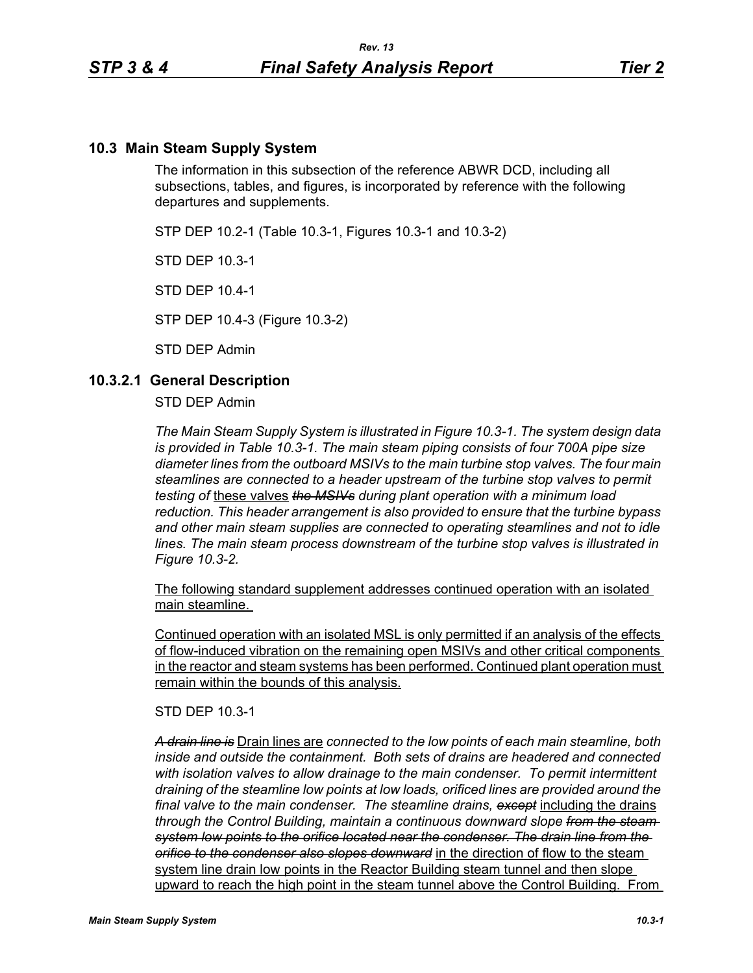### **10.3 Main Steam Supply System**

The information in this subsection of the reference ABWR DCD, including all subsections, tables, and figures, is incorporated by reference with the following departures and supplements.

STP DEP 10.2-1 (Table 10.3-1, Figures 10.3-1 and 10.3-2)

STD DEP 10.3-1

STD DEP 10.4-1

STP DEP 10.4-3 (Figure 10.3-2)

STD DEP Admin

#### **10.3.2.1 General Description**

STD DEP Admin

*The Main Steam Supply System is illustrated in Figure 10.3-1. The system design data is provided in Table 10.3-1. The main steam piping consists of four 700A pipe size diameter lines from the outboard MSIVs to the main turbine stop valves. The four main steamlines are connected to a header upstream of the turbine stop valves to permit testing of* these valves *the MSIVs during plant operation with a minimum load reduction. This header arrangement is also provided to ensure that the turbine bypass and other main steam supplies are connected to operating steamlines and not to idle lines. The main steam process downstream of the turbine stop valves is illustrated in Figure 10.3-2.*

The following standard supplement addresses continued operation with an isolated main steamline.

Continued operation with an isolated MSL is only permitted if an analysis of the effects of flow-induced vibration on the remaining open MSIVs and other critical components in the reactor and steam systems has been performed. Continued plant operation must remain within the bounds of this analysis.

STD DEP 10.3-1

*A drain line is* Drain lines are *connected to the low points of each main steamline, both inside and outside the containment. Both sets of drains are headered and connected with isolation valves to allow drainage to the main condenser. To permit intermittent draining of the steamline low points at low loads, orificed lines are provided around the final valve to the main condenser. The steamline drains, except* including the drains *through the Control Building, maintain a continuous downward slope from the steam system low points to the orifice located near the condenser. The drain line from the orifice to the condenser also slopes downward* in the direction of flow to the steam system line drain low points in the Reactor Building steam tunnel and then slope upward to reach the high point in the steam tunnel above the Control Building. From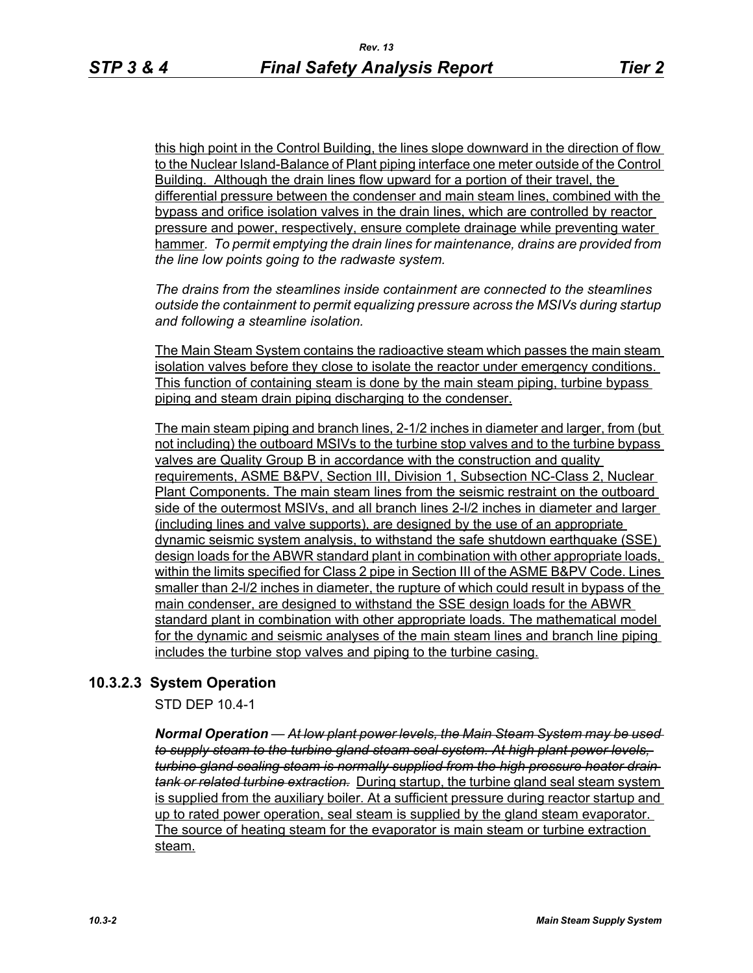this high point in the Control Building, the lines slope downward in the direction of flow to the Nuclear Island-Balance of Plant piping interface one meter outside of the Control Building. Although the drain lines flow upward for a portion of their travel, the differential pressure between the condenser and main steam lines, combined with the bypass and orifice isolation valves in the drain lines, which are controlled by reactor pressure and power, respectively, ensure complete drainage while preventing water hammer*. To permit emptying the drain lines for maintenance, drains are provided from the line low points going to the radwaste system.*

*The drains from the steamlines inside containment are connected to the steamlines outside the containment to permit equalizing pressure across the MSIVs during startup and following a steamline isolation.*

The Main Steam System contains the radioactive steam which passes the main steam isolation valves before they close to isolate the reactor under emergency conditions. This function of containing steam is done by the main steam piping, turbine bypass piping and steam drain piping discharging to the condenser.

The main steam piping and branch lines, 2-1/2 inches in diameter and larger, from (but not including) the outboard MSIVs to the turbine stop valves and to the turbine bypass valves are Quality Group B in accordance with the construction and quality requirements, ASME B&PV, Section III, Division 1, Subsection NC-Class 2, Nuclear Plant Components. The main steam lines from the seismic restraint on the outboard side of the outermost MSIVs, and all branch lines 2-l/2 inches in diameter and larger (including lines and valve supports), are designed by the use of an appropriate dynamic seismic system analysis, to withstand the safe shutdown earthquake (SSE) design loads for the ABWR standard plant in combination with other appropriate loads, within the limits specified for Class 2 pipe in Section III of the ASME B&PV Code. Lines smaller than 2-l/2 inches in diameter, the rupture of which could result in bypass of the main condenser, are designed to withstand the SSE design loads for the ABWR standard plant in combination with other appropriate loads. The mathematical model for the dynamic and seismic analyses of the main steam lines and branch line piping includes the turbine stop valves and piping to the turbine casing.

### **10.3.2.3 System Operation**

STD DEP 10.4-1

*Normal Operation — At low plant power levels, the Main Steam System may be used to supply steam to the turbine gland steam seal system. At high plant power levels, turbine gland sealing steam is normally supplied from the high pressure heater drain tank or related turbine extraction.* During startup, the turbine gland seal steam system is supplied from the auxiliary boiler. At a sufficient pressure during reactor startup and up to rated power operation, seal steam is supplied by the gland steam evaporator. The source of heating steam for the evaporator is main steam or turbine extraction steam.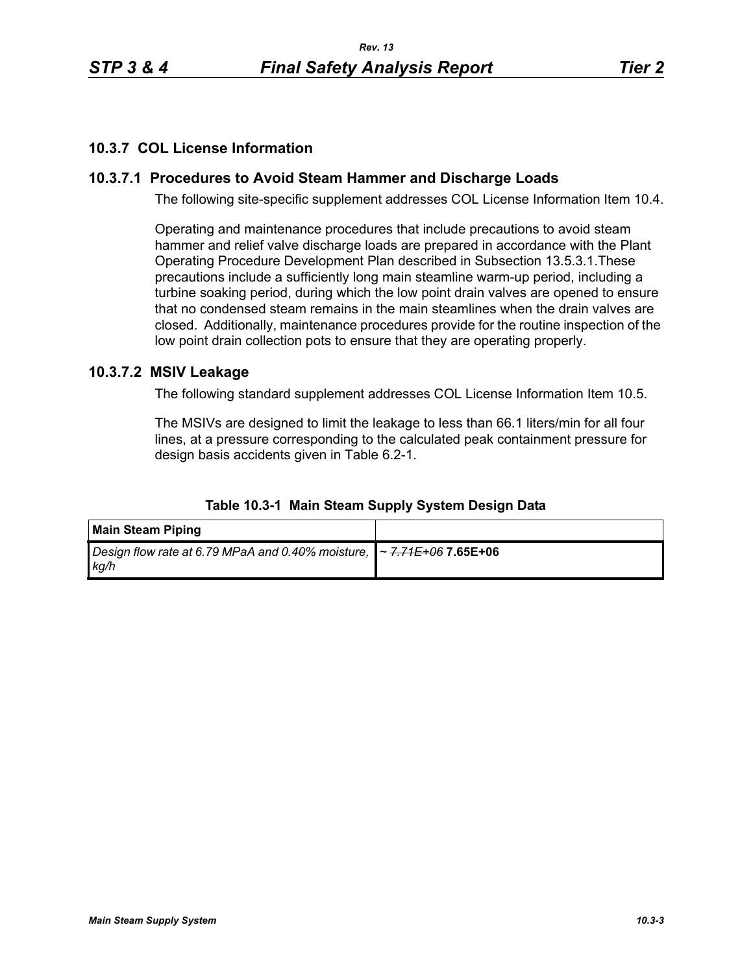## **10.3.7 COL License Information**

# **10.3.7.1 Procedures to Avoid Steam Hammer and Discharge Loads**

The following site-specific supplement addresses COL License Information Item 10.4.

Operating and maintenance procedures that include precautions to avoid steam hammer and relief valve discharge loads are prepared in accordance with the Plant Operating Procedure Development Plan described in Subsection 13.5.3.1.These precautions include a sufficiently long main steamline warm-up period, including a turbine soaking period, during which the low point drain valves are opened to ensure that no condensed steam remains in the main steamlines when the drain valves are closed. Additionally, maintenance procedures provide for the routine inspection of the low point drain collection pots to ensure that they are operating properly.

# **10.3.7.2 MSIV Leakage**

The following standard supplement addresses COL License Information Item 10.5.

The MSIVs are designed to limit the leakage to less than 66.1 liters/min for all four lines, at a pressure corresponding to the calculated peak containment pressure for design basis accidents given in Table 6.2-1.

| <b>Main Steam Piping</b>                                                                                       |  |
|----------------------------------------------------------------------------------------------------------------|--|
| Design flow rate at 6.79 MPaA and 0.4 <del>0</del> % moisture, <b> </b> ~ <del>7.71E+06</del> 7.65E+06<br>kg/h |  |

#### **Table 10.3-1 Main Steam Supply System Design Data**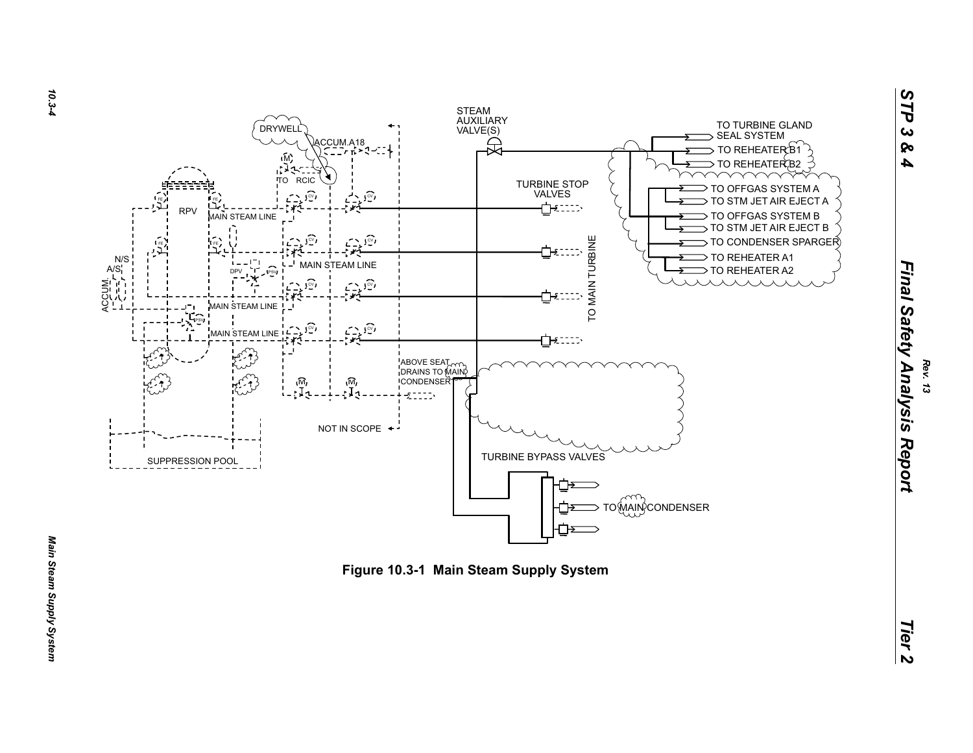

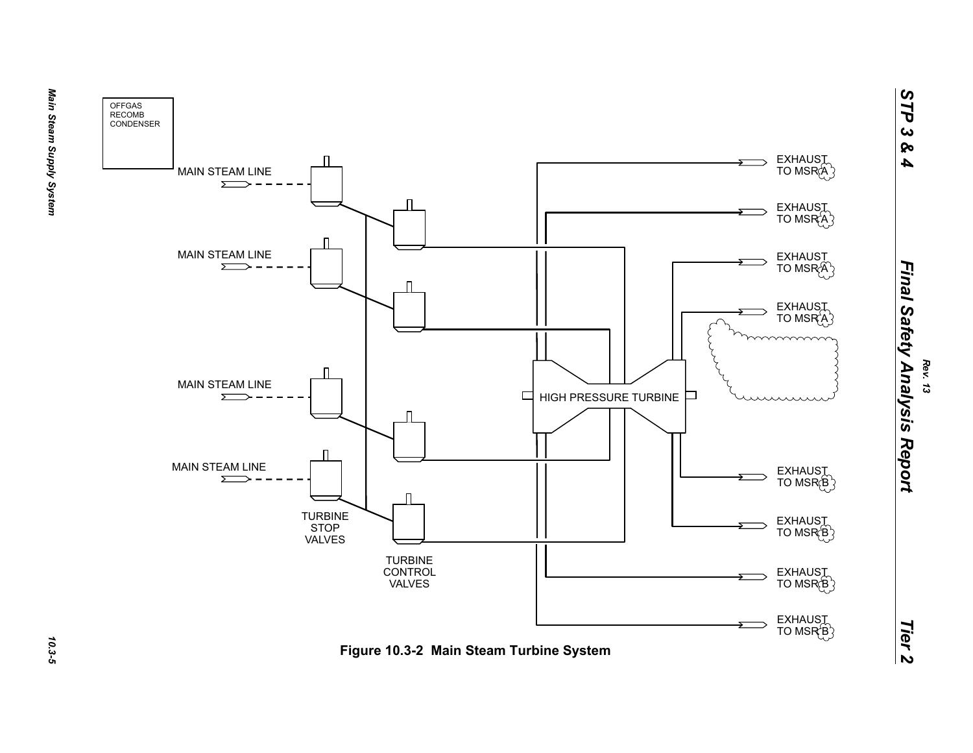

*Rev. 13*